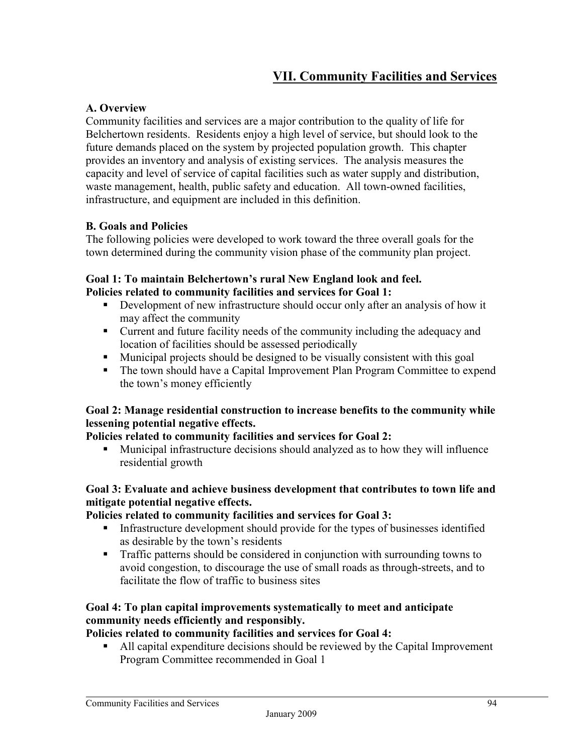## **VII. Community Facilities and Services**

## **A. Overview**

Community facilities and services are a major contribution to the quality of life for Belchertown residents. Residents enjoy a high level of service, but should look to the future demands placed on the system by projected population growth. This chapter provides an inventory and analysis of existing services. The analysis measures the capacity and level of service of capital facilities such as water supply and distribution, waste management, health, public safety and education. All town-owned facilities, infrastructure, and equipment are included in this definition.

## **B. Goals and Policies**

The following policies were developed to work toward the three overall goals for the town determined during the community vision phase of the community plan project.

#### **Goal 1: To maintain Belchertown's rural New England look and feel. Policies related to community facilities and services for Goal 1:**

- Development of new infrastructure should occur only after an analysis of how it may affect the community
- Current and future facility needs of the community including the adequacy and location of facilities should be assessed periodically
- Municipal projects should be designed to be visually consistent with this goal
- The town should have a Capital Improvement Plan Program Committee to expend the town's money efficiently

## **Goal 2: Manage residential construction to increase benefits to the community while lessening potential negative effects.**

#### **Policies related to community facilities and services for Goal 2:**

 Municipal infrastructure decisions should analyzed as to how they will influence residential growth

## **Goal 3: Evaluate and achieve business development that contributes to town life and mitigate potential negative effects.**

#### **Policies related to community facilities and services for Goal 3:**

- Infrastructure development should provide for the types of businesses identified as desirable by the town's residents
- Traffic patterns should be considered in conjunction with surrounding towns to avoid congestion, to discourage the use of small roads as through-streets, and to facilitate the flow of traffic to business sites

## **Goal 4: To plan capital improvements systematically to meet and anticipate community needs efficiently and responsibly.**

## **Policies related to community facilities and services for Goal 4:**

 All capital expenditure decisions should be reviewed by the Capital Improvement Program Committee recommended in Goal 1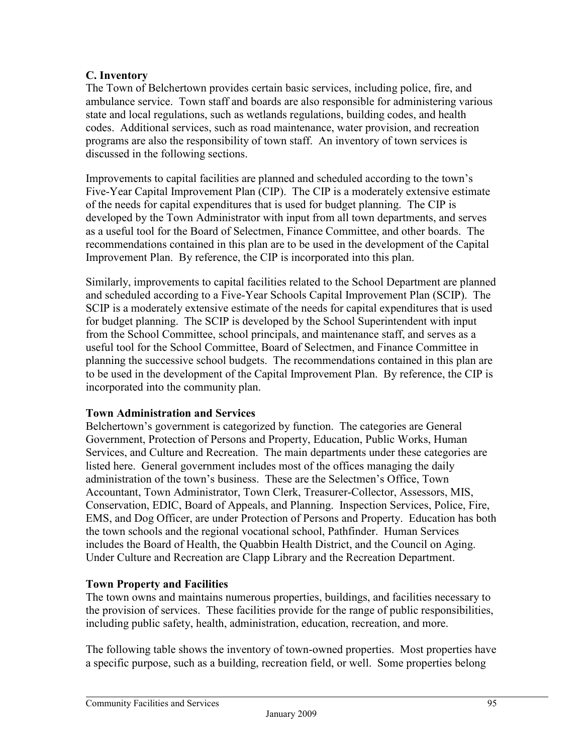## **C. Inventory**

The Town of Belchertown provides certain basic services, including police, fire, and ambulance service. Town staff and boards are also responsible for administering various state and local regulations, such as wetlands regulations, building codes, and health codes. Additional services, such as road maintenance, water provision, and recreation programs are also the responsibility of town staff. An inventory of town services is discussed in the following sections.

Improvements to capital facilities are planned and scheduled according to the town's Five-Year Capital Improvement Plan (CIP). The CIP is a moderately extensive estimate of the needs for capital expenditures that is used for budget planning. The CIP is developed by the Town Administrator with input from all town departments, and serves as a useful tool for the Board of Selectmen, Finance Committee, and other boards. The recommendations contained in this plan are to be used in the development of the Capital Improvement Plan. By reference, the CIP is incorporated into this plan.

Similarly, improvements to capital facilities related to the School Department are planned and scheduled according to a Five-Year Schools Capital Improvement Plan (SCIP). The SCIP is a moderately extensive estimate of the needs for capital expenditures that is used for budget planning. The SCIP is developed by the School Superintendent with input from the School Committee, school principals, and maintenance staff, and serves as a useful tool for the School Committee, Board of Selectmen, and Finance Committee in planning the successive school budgets. The recommendations contained in this plan are to be used in the development of the Capital Improvement Plan. By reference, the CIP is incorporated into the community plan.

## **Town Administration and Services**

Belchertown's government is categorized by function. The categories are General Government, Protection of Persons and Property, Education, Public Works, Human Services, and Culture and Recreation. The main departments under these categories are listed here. General government includes most of the offices managing the daily administration of the town's business. These are the Selectmen's Office, Town Accountant, Town Administrator, Town Clerk, Treasurer-Collector, Assessors, MIS, Conservation, EDIC, Board of Appeals, and Planning. Inspection Services, Police, Fire, EMS, and Dog Officer, are under Protection of Persons and Property. Education has both the town schools and the regional vocational school, Pathfinder. Human Services includes the Board of Health, the Quabbin Health District, and the Council on Aging. Under Culture and Recreation are Clapp Library and the Recreation Department.

## **Town Property and Facilities**

The town owns and maintains numerous properties, buildings, and facilities necessary to the provision of services. These facilities provide for the range of public responsibilities, including public safety, health, administration, education, recreation, and more.

The following table shows the inventory of town-owned properties. Most properties have a specific purpose, such as a building, recreation field, or well. Some properties belong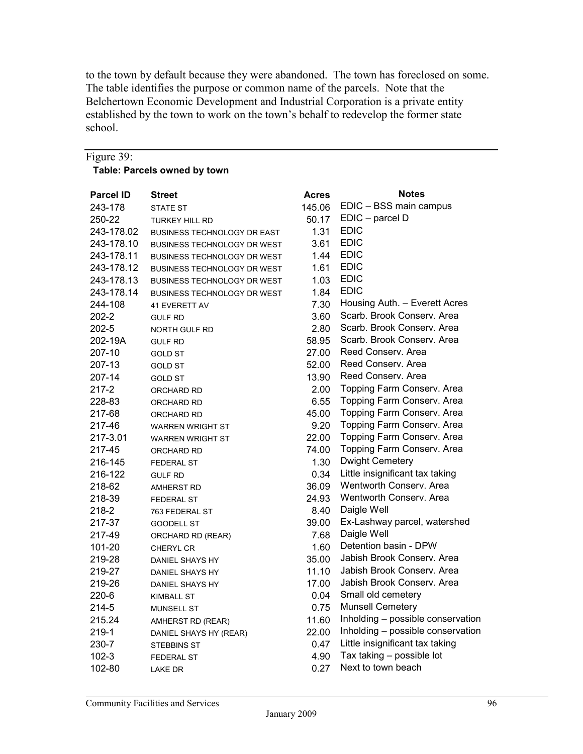to the town by default because they were abandoned. The town has foreclosed on some. The table identifies the purpose or common name of the parcels. Note that the Belchertown Economic Development and Industrial Corporation is a private entity established by the town to work on the town's behalf to redevelop the former state school.

| Figure 39:       |                                    |                   |                                   |
|------------------|------------------------------------|-------------------|-----------------------------------|
|                  | Table: Parcels owned by town       |                   |                                   |
|                  |                                    |                   |                                   |
| <b>Parcel ID</b> | <b>Street</b>                      | <b>Acres</b>      | <b>Notes</b>                      |
| 243-178          | <b>STATE ST</b>                    | 145.06            | EDIC - BSS main campus            |
| 250-22           | <b>TURKEY HILL RD</b>              | 50.17             | EDIC - parcel D                   |
| 243-178.02       | <b>BUSINESS TECHNOLOGY DR EAST</b> | 1.31              | <b>EDIC</b>                       |
| 243-178.10       | <b>BUSINESS TECHNOLOGY DR WEST</b> | 3.61              | <b>EDIC</b>                       |
| 243-178.11       | <b>BUSINESS TECHNOLOGY DR WEST</b> | 1.44              | <b>EDIC</b>                       |
| 243-178.12       | <b>BUSINESS TECHNOLOGY DR WEST</b> | 1.61              | <b>EDIC</b>                       |
| 243-178.13       | <b>BUSINESS TECHNOLOGY DR WEST</b> | 1.03              | <b>EDIC</b>                       |
| 243-178.14       | <b>BUSINESS TECHNOLOGY DR WEST</b> | 1.84              | <b>EDIC</b>                       |
| 244-108          | <b>41 EVERETT AV</b>               | 7.30              | Housing Auth. - Everett Acres     |
| $202 - 2$        | <b>GULF RD</b>                     | 3.60              | Scarb. Brook Conserv. Area        |
| $202 - 5$        | <b>NORTH GULF RD</b>               | 2.80              | Scarb, Brook Conserv, Area        |
| 202-19A          | <b>GULF RD</b>                     | 58.95             | Scarb, Brook Conserv, Area        |
| 207-10           | <b>GOLD ST</b>                     | 27.00             | Reed Conserv. Area                |
| 207-13           | <b>GOLD ST</b>                     | 52.00             | Reed Conserv. Area                |
| 207-14           | <b>GOLD ST</b>                     | 13.90             | Reed Conserv, Area                |
| $217 - 2$        | ORCHARD RD                         | 2.00 <sub>1</sub> | Topping Farm Conserv. Area        |
| 228-83           | ORCHARD RD                         | 6.55              | Topping Farm Conserv. Area        |
| 217-68           | ORCHARD RD                         | 45.00             | Topping Farm Conserv. Area        |
| 217-46           | <b>WARREN WRIGHT ST</b>            | 9.20              | Topping Farm Conserv. Area        |
| 217-3.01         | <b>WARREN WRIGHT ST</b>            | 22.00             | Topping Farm Conserv. Area        |
| 217-45           | ORCHARD RD                         | 74.00             | Topping Farm Conserv. Area        |
| 216-145          | <b>FEDERAL ST</b>                  | 1.30              | <b>Dwight Cemetery</b>            |
| 216-122          | <b>GULF RD</b>                     | 0.34              | Little insignificant tax taking   |
| 218-62           | <b>AMHERST RD</b>                  | 36.09             | Wentworth Conserv. Area           |
| 218-39           | <b>FEDERAL ST</b>                  | 24.93             | Wentworth Conserv. Area           |
| 218-2            | 763 FEDERAL ST                     | 8.40              | Daigle Well                       |
| 217-37           | <b>GOODELL ST</b>                  | 39.00             | Ex-Lashway parcel, watershed      |
| 217-49           | ORCHARD RD (REAR)                  | 7.68              | Daigle Well                       |
| 101-20           | <b>CHERYL CR</b>                   | 1.60              | Detention basin - DPW             |
| 219-28           | <b>DANIEL SHAYS HY</b>             | 35.00             | Jabish Brook Conserv. Area        |
| 219-27           | DANIEL SHAYS HY                    | 11.10             | Jabish Brook Conserv. Area        |
| 219-26           | <b>DANIEL SHAYS HY</b>             | 17.00             | Jabish Brook Conserv. Area        |
| $220 - 6$        | KIMBALL ST                         | 0.04              | Small old cemetery                |
| 214-5            | <b>MUNSELL ST</b>                  | 0.75              | <b>Munsell Cemetery</b>           |
| 215.24           | AMHERST RD (REAR)                  | 11.60             | Inholding - possible conservation |
| 219-1            | DANIEL SHAYS HY (REAR)             | 22.00             | Inholding - possible conservation |
| 230-7            | STEBBINS ST                        | 0.47              | Little insignificant tax taking   |
| $102 - 3$        | FEDERAL ST                         | 4.90              | Tax taking - possible lot         |
| 102-80           | LAKE DR                            | 0.27              | Next to town beach                |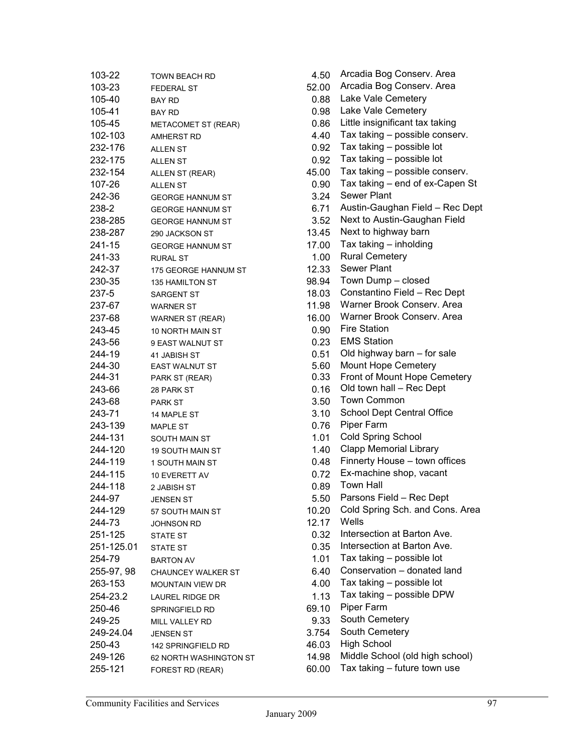| 103-22     | <b>TOWN BEACH RD</b>                       | 4.50  | Arcadia Bog Conserv. Area       |
|------------|--------------------------------------------|-------|---------------------------------|
| 103-23     | <b>FEDERAL ST</b>                          | 52.00 | Arcadia Bog Conserv. Area       |
| 105-40     | <b>BAY RD</b>                              | 0.88  | Lake Vale Cemetery              |
| 105-41     | <b>BAY RD</b>                              | 0.98  | Lake Vale Cemetery              |
| 105-45     | METACOMET ST (REAR)                        | 0.86  | Little insignificant tax taking |
| 102-103    | <b>AMHERST RD</b>                          | 4.40  | Tax taking - possible conserv.  |
| 232-176    | <b>ALLEN ST</b>                            | 0.92  | Tax taking - possible lot       |
| 232-175    | <b>ALLEN ST</b>                            | 0.92  | Tax taking - possible lot       |
| 232-154    | ALLEN ST (REAR)                            | 45.00 | Tax taking - possible conserv.  |
| 107-26     | <b>ALLEN ST</b>                            | 0.90  | Tax taking - end of ex-Capen S  |
| 242-36     | <b>GEORGE HANNUM ST</b>                    | 3.24  | Sewer Plant                     |
| 238-2      | <b>GEORGE HANNUM ST</b>                    | 6.71  | Austin-Gaughan Field - Rec De   |
| 238-285    | <b>GEORGE HANNUM ST</b>                    | 3.52  | Next to Austin-Gaughan Field    |
| 238-287    | 290 JACKSON ST                             | 13.45 | Next to highway barn            |
| 241-15     | <b>GEORGE HANNUM ST</b>                    | 17.00 | Tax taking - inholding          |
| 241-33     | <b>RURAL ST</b>                            | 1.00  | <b>Rural Cemetery</b>           |
| 242-37     | 175 GEORGE HANNUM ST                       | 12.33 | Sewer Plant                     |
| 230-35     | <b>135 HAMILTON ST</b>                     | 98.94 | Town Dump - closed              |
| 237-5      | <b>SARGENT ST</b>                          | 18.03 | Constantino Field - Rec Dept    |
| 237-67     | <b>WARNER ST</b>                           | 11.98 | Warner Brook Conserv. Area      |
| 237-68     | <b>WARNER ST (REAR)</b>                    | 16.00 | Warner Brook Conserv. Area      |
| 243-45     | 10 NORTH MAIN ST                           | 0.90  | <b>Fire Station</b>             |
| 243-56     | 9 EAST WALNUT ST                           | 0.23  | <b>EMS Station</b>              |
| 244-19     | 41 JABISH ST                               | 0.51  | Old highway barn - for sale     |
| 244-30     | <b>EAST WALNUT ST</b>                      | 5.60  | <b>Mount Hope Cemetery</b>      |
| 244-31     | PARK ST (REAR)                             | 0.33  | Front of Mount Hope Cemetery    |
| 243-66     | 28 PARK ST                                 | 0.16  | Old town hall - Rec Dept        |
| 243-68     | <b>PARK ST</b>                             | 3.50  | <b>Town Common</b>              |
| 243-71     | 14 MAPLE ST                                | 3.10  | School Dept Central Office      |
| 243-139    | <b>MAPLE ST</b>                            | 0.76  | Piper Farm                      |
| 244-131    | <b>SOUTH MAIN ST</b>                       | 1.01  | Cold Spring School              |
| 244-120    | <b>19 SOUTH MAIN ST</b>                    | 1.40  | <b>Clapp Memorial Library</b>   |
| 244-119    | 1 SOUTH MAIN ST                            | 0.48  | Finnerty House - town offices   |
| 244-115    | 10 EVERETT AV                              | 0.72  | Ex-machine shop, vacant         |
| 244-118    | 2 JABISH ST                                | 0.89  | <b>Town Hall</b>                |
| 244-97     | <b>JENSEN ST</b>                           | 5.50  | Parsons Field - Rec Dept        |
| 244-129    | 57 SOUTH MAIN ST                           | 10.20 | Cold Spring Sch. and Cons. Are  |
| 244-73     | <b>JOHNSON RD</b>                          | 12.17 | Wells                           |
| 251-125    | <b>STATE ST</b>                            | 0.32  | Intersection at Barton Ave.     |
| 251-125.01 | <b>STATE ST</b>                            | 0.35  | Intersection at Barton Ave.     |
| 254-79     | <b>BARTON AV</b>                           | 1.01  | Tax taking $-$ possible lot     |
| 255-97, 98 | <b>CHAUNCEY WALKER ST</b>                  | 6.40  | Conservation - donated land     |
| 263-153    | <b>MOUNTAIN VIEW DR</b>                    | 4.00  | Tax taking - possible lot       |
| 254-23.2   | LAUREL RIDGE DR                            | 1.13  | Tax taking - possible DPW       |
| 250-46     | SPRINGFIELD RD                             | 69.10 | Piper Farm                      |
| 249-25     |                                            | 9.33  | South Cemetery                  |
| 249-24.04  | MILL VALLEY RD<br><b>JENSEN ST</b>         | 3.754 | South Cemetery                  |
| 250-43     |                                            | 46.03 | <b>High School</b>              |
| 249-126    | 142 SPRINGFIELD RD                         | 14.98 | Middle School (old high school) |
| 255-121    | 62 NORTH WASHINGTON ST<br>FOREST RD (REAR) | 60.00 | Tax taking - future town use    |
|            |                                            |       |                                 |

| 103-22     | TOWN BEACH RD             | 4.50  | Arcadia Bog Conserv. Area                           |
|------------|---------------------------|-------|-----------------------------------------------------|
| 103-23     | <b>FEDERAL ST</b>         | 52.00 | Arcadia Bog Conserv. Area                           |
| 105-40     | BAY RD                    | 0.88  | Lake Vale Cemetery                                  |
| 105-41     | <b>BAY RD</b>             | 0.98  | Lake Vale Cemetery                                  |
| 105-45     | METACOMET ST (REAR)       | 0.86  | Little insignificant tax taking                     |
| 102-103    | <b>AMHERST RD</b>         | 4.40  | Tax taking - possible conserv.                      |
| 232-176    | <b>ALLEN ST</b>           | 0.92  | Tax taking - possible lot                           |
| 232-175    | <b>ALLEN ST</b>           | 0.92  | Tax taking - possible lot                           |
| 232-154    | ALLEN ST (REAR)           | 45.00 | Tax taking - possible conserv.                      |
| 107-26     | <b>ALLEN ST</b>           | 0.90  | Tax taking - end of ex-Capen St                     |
| 242-36     | <b>GEORGE HANNUM ST</b>   | 3.24  | <b>Sewer Plant</b>                                  |
| 238-2      | <b>GEORGE HANNUM ST</b>   | 6.71  | Austin-Gaughan Field - Rec Dept                     |
| 238-285    | <b>GEORGE HANNUM ST</b>   | 3.52  | Next to Austin-Gaughan Field                        |
| 238-287    | 290 JACKSON ST            | 13.45 | Next to highway barn                                |
| 241-15     | <b>GEORGE HANNUM ST</b>   | 17.00 | Tax taking - inholding                              |
| 241-33     | <b>RURAL ST</b>           | 1.00  | <b>Rural Cemetery</b>                               |
| 242-37     | 175 GEORGE HANNUM ST      | 12.33 | Sewer Plant                                         |
| 230-35     | 135 HAMILTON ST           | 98.94 | Town Dump - closed                                  |
| 237-5      | <b>SARGENT ST</b>         | 18.03 | Constantino Field - Rec Dept                        |
| 237-67     |                           | 11.98 | Warner Brook Conserv. Area                          |
|            | <b>WARNER ST</b>          | 16.00 | Warner Brook Conserv. Area                          |
| 237-68     | <b>WARNER ST (REAR)</b>   |       | <b>Fire Station</b>                                 |
| 243-45     | 10 NORTH MAIN ST          | 0.90  | <b>EMS Station</b>                                  |
| 243-56     | 9 EAST WALNUT ST          | 0.23  |                                                     |
| 244-19     | 41 JABISH ST              | 0.51  | Old highway barn - for sale                         |
| 244-30     | EAST WALNUT ST            | 5.60  | Mount Hope Cemetery<br>Front of Mount Hope Cemetery |
| 244-31     | PARK ST (REAR)            | 0.33  | Old town hall - Rec Dept                            |
| 243-66     | 28 PARK ST                | 0.16  | <b>Town Common</b>                                  |
| 243-68     | <b>PARK ST</b>            | 3.50  |                                                     |
| 243-71     | 14 MAPLE ST               | 3.10  | <b>School Dept Central Office</b>                   |
| 243-139    | <b>MAPLE ST</b>           | 0.76  | Piper Farm                                          |
| 244-131    | <b>SOUTH MAIN ST</b>      | 1.01  | <b>Cold Spring School</b>                           |
| 244-120    | <b>19 SOUTH MAIN ST</b>   | 1.40  | <b>Clapp Memorial Library</b>                       |
| 244-119    | 1 SOUTH MAIN ST           | 0.48  | Finnerty House - town offices                       |
| 244-115    | 10 EVERETT AV             | 0.72  | Ex-machine shop, vacant                             |
| 244-118    | 2 JABISH ST               | 0.89  | <b>Town Hall</b>                                    |
| 244-97     | <b>JENSEN ST</b>          | 5.50  | Parsons Field - Rec Dept                            |
| 244-129    | 57 SOUTH MAIN ST          | 10.20 | Cold Spring Sch. and Cons. Area                     |
| 244-73     | <b>JOHNSON RD</b>         | 12.17 | Wells                                               |
| 251-125    | <b>STATE ST</b>           | 0.32  | Intersection at Barton Ave.                         |
| 251-125.01 | <b>STATE ST</b>           | 0.35  | Intersection at Barton Ave.                         |
| 254-79     | <b>BARTON AV</b>          | 1.01  | Tax taking - possible lot                           |
| 255-97, 98 | <b>CHAUNCEY WALKER ST</b> | 6.40  | Conservation - donated land                         |
| 263-153    | <b>MOUNTAIN VIEW DR</b>   | 4.00  | Tax taking - possible lot                           |
| 254-23.2   | <b>LAUREL RIDGE DR</b>    | 1.13  | Tax taking - possible DPW                           |
| 250-46     | SPRINGFIELD RD            | 69.10 | Piper Farm                                          |
| 249-25     | MILL VALLEY RD            | 9.33  | South Cemetery                                      |
| 249-24.04  | <b>JENSEN ST</b>          | 3.754 | South Cemetery                                      |
| 250-43     | 142 SPRINGFIELD RD        | 46.03 | <b>High School</b>                                  |
| 249-126    | 62 NORTH WASHINGTON ST    | 14.98 | Middle School (old high school)                     |
| 255-121    | FOREST RD (REAR)          | 60.00 | Tax taking - future town use                        |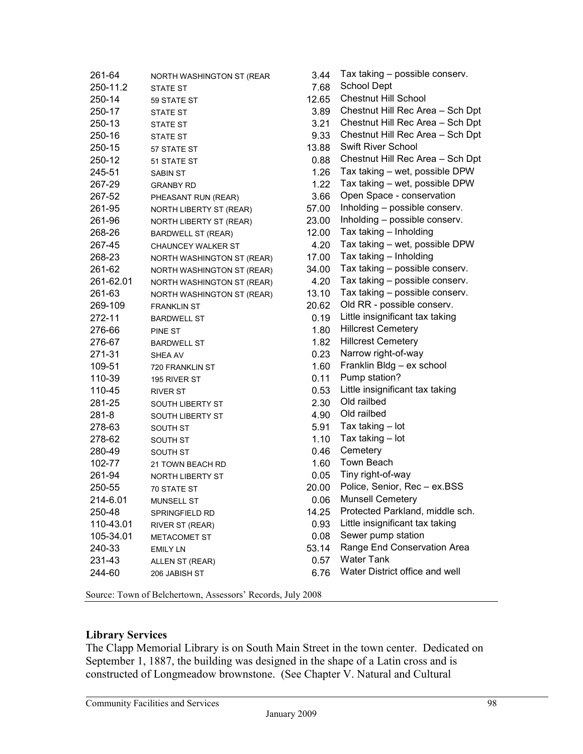| 261-64    | NORTH WASHINGTON ST (REAR  | 3.44  | Tax taking - possible conserv.   |
|-----------|----------------------------|-------|----------------------------------|
| 250-11.2  | <b>STATE ST</b>            | 7.68  | <b>School Dept</b>               |
| 250-14    | 59 STATE ST                | 12.65 | <b>Chestnut Hill School</b>      |
| 250-17    | <b>STATE ST</b>            | 3.89  | Chestnut Hill Rec Area - Sch Dpt |
| 250-13    | <b>STATE ST</b>            | 3.21  | Chestnut Hill Rec Area - Sch Dpt |
| 250-16    | <b>STATE ST</b>            | 9.33  | Chestnut Hill Rec Area - Sch Dpt |
| 250-15    | 57 STATE ST                | 13.88 | <b>Swift River School</b>        |
| 250-12    | 51 STATE ST                | 0.88  | Chestnut Hill Rec Area - Sch Dpt |
| 245-51    | <b>SABIN ST</b>            | 1.26  | Tax taking - wet, possible DPW   |
| 267-29    | <b>GRANBY RD</b>           | 1.22  | Tax taking - wet, possible DPW   |
| 267-52    | PHEASANT RUN (REAR)        | 3.66  | Open Space - conservation        |
| 261-95    | NORTH LIBERTY ST (REAR)    | 57.00 | Inholding - possible conserv.    |
| 261-96    | NORTH LIBERTY ST (REAR)    | 23.00 | Inholding - possible conserv.    |
| 268-26    | <b>BARDWELL ST (REAR)</b>  | 12.00 | Tax taking - Inholding           |
| 267-45    | <b>CHAUNCEY WALKER ST</b>  | 4.20  | Tax taking - wet, possible DPW   |
| 268-23    | NORTH WASHINGTON ST (REAR) | 17.00 | Tax taking - Inholding           |
| 261-62    | NORTH WASHINGTON ST (REAR) | 34.00 | Tax taking - possible conserv.   |
| 261-62.01 | NORTH WASHINGTON ST (REAR) | 4.20  | Tax taking - possible conserv.   |
| 261-63    | NORTH WASHINGTON ST (REAR) | 13.10 | Tax taking - possible conserv.   |
| 269-109   | <b>FRANKLIN ST</b>         | 20.62 | Old RR - possible conserv.       |
| 272-11    | <b>BARDWELL ST</b>         | 0.19  | Little insignificant tax taking  |
| 276-66    | PINE ST                    | 1.80  | <b>Hillcrest Cemetery</b>        |
| 276-67    | <b>BARDWELL ST</b>         | 1.82  | <b>Hillcrest Cemetery</b>        |
| 271-31    | SHEA AV                    | 0.23  | Narrow right-of-way              |
| 109-51    | 720 FRANKLIN ST            | 1.60  | Franklin Bldg - ex school        |
| 110-39    | 195 RIVER ST               | 0.11  | Pump station?                    |
| 110-45    | <b>RIVER ST</b>            | 0.53  | Little insignificant tax taking  |
| 281-25    | SOUTH LIBERTY ST           | 2.30  | Old railbed                      |
| $281 - 8$ | SOUTH LIBERTY ST           | 4.90  | Old railbed                      |
| 278-63    | SOUTH ST                   | 5.91  | Tax taking - lot                 |
| 278-62    | SOUTH ST                   | 1.10  | Tax taking - lot                 |
| 280-49    | SOUTH ST                   | 0.46  | Cemetery                         |
| 102-77    | 21 TOWN BEACH RD           | 1.60  | Town Beach                       |
| 261-94    | NORTH LIBERTY ST           | 0.05  | Tiny right-of-way                |
| 250-55    | 70 STATE ST                | 20.00 | Police, Senior, Rec - ex.BSS     |
| 214-6.01  | <b>MUNSELL ST</b>          | 0.06  | <b>Munsell Cemetery</b>          |
| 250-48    | SPRINGFIELD RD             | 14.25 | Protected Parkland, middle sch.  |
| 110-43.01 | RIVER ST (REAR)            | 0.93  | Little insignificant tax taking  |
| 105-34.01 | <b>METACOMET ST</b>        | 0.08  | Sewer pump station               |
| 240-33    | <b>EMILY LN</b>            | 53.14 | Range End Conservation Area      |
| 231-43    | ALLEN ST (REAR)            | 0.57  | <b>Water Tank</b>                |
| 244-60    | 206 JABISH ST              | 6.76  | Water District office and well   |
|           |                            |       |                                  |

Source: Town of Belchertown, Assessors' Records, July 2008

#### **Library Services**

The Clapp Memorial Library is on South Main Street in the town center. Dedicated on September 1, 1887, the building was designed in the shape of a Latin cross and is constructed of Longmeadow brownstone. (See Chapter V. Natural and Cultural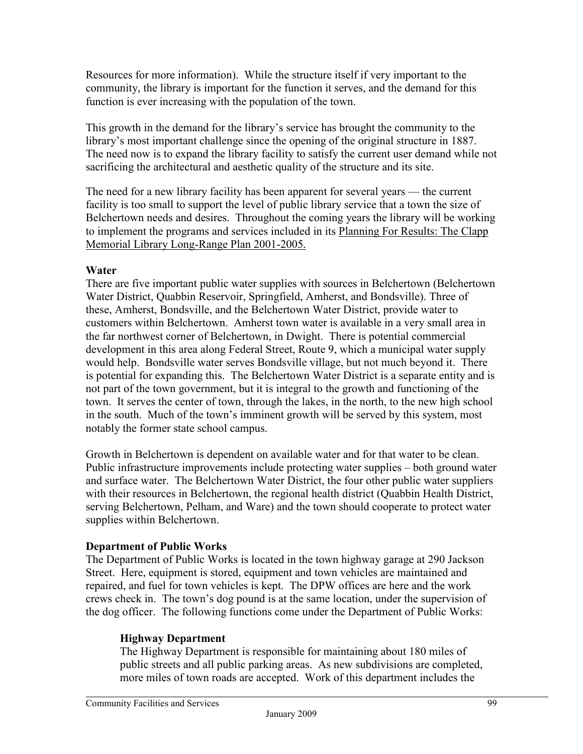Resources for more information). While the structure itself if very important to the community, the library is important for the function it serves, and the demand for this function is ever increasing with the population of the town.

This growth in the demand for the library's service has brought the community to the library's most important challenge since the opening of the original structure in 1887. The need now is to expand the library facility to satisfy the current user demand while not sacrificing the architectural and aesthetic quality of the structure and its site.

The need for a new library facility has been apparent for several years — the current facility is too small to support the level of public library service that a town the size of Belchertown needs and desires. Throughout the coming years the library will be working to implement the programs and services included in its Planning For Results: The Clapp Memorial Library Long-Range Plan 2001-2005.

## **Water**

There are five important public water supplies with sources in Belchertown (Belchertown Water District, Quabbin Reservoir, Springfield, Amherst, and Bondsville). Three of these, Amherst, Bondsville, and the Belchertown Water District, provide water to customers within Belchertown. Amherst town water is available in a very small area in the far northwest corner of Belchertown, in Dwight. There is potential commercial development in this area along Federal Street, Route 9, which a municipal water supply would help. Bondsville water serves Bondsville village, but not much beyond it. There is potential for expanding this. The Belchertown Water District is a separate entity and is not part of the town government, but it is integral to the growth and functioning of the town. It serves the center of town, through the lakes, in the north, to the new high school in the south. Much of the town's imminent growth will be served by this system, most notably the former state school campus.

Growth in Belchertown is dependent on available water and for that water to be clean. Public infrastructure improvements include protecting water supplies – both ground water and surface water. The Belchertown Water District, the four other public water suppliers with their resources in Belchertown, the regional health district (Quabbin Health District, serving Belchertown, Pelham, and Ware) and the town should cooperate to protect water supplies within Belchertown.

## **Department of Public Works**

The Department of Public Works is located in the town highway garage at 290 Jackson Street. Here, equipment is stored, equipment and town vehicles are maintained and repaired, and fuel for town vehicles is kept. The DPW offices are here and the work crews check in. The town's dog pound is at the same location, under the supervision of the dog officer. The following functions come under the Department of Public Works:

## **Highway Department**

The Highway Department is responsible for maintaining about 180 miles of public streets and all public parking areas. As new subdivisions are completed, more miles of town roads are accepted. Work of this department includes the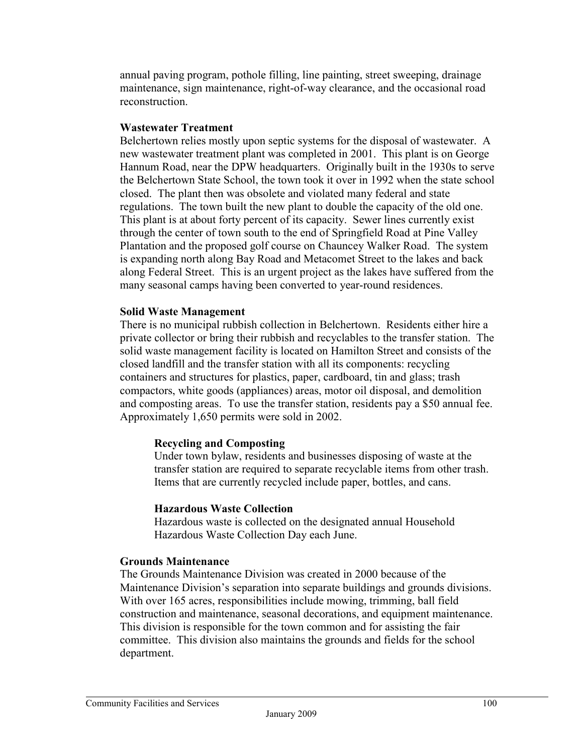annual paving program, pothole filling, line painting, street sweeping, drainage maintenance, sign maintenance, right-of-way clearance, and the occasional road reconstruction.

### **Wastewater Treatment**

Belchertown relies mostly upon septic systems for the disposal of wastewater. A new wastewater treatment plant was completed in 2001. This plant is on George Hannum Road, near the DPW headquarters. Originally built in the 1930s to serve the Belchertown State School, the town took it over in 1992 when the state school closed. The plant then was obsolete and violated many federal and state regulations. The town built the new plant to double the capacity of the old one. This plant is at about forty percent of its capacity. Sewer lines currently exist through the center of town south to the end of Springfield Road at Pine Valley Plantation and the proposed golf course on Chauncey Walker Road. The system is expanding north along Bay Road and Metacomet Street to the lakes and back along Federal Street. This is an urgent project as the lakes have suffered from the many seasonal camps having been converted to year-round residences.

#### **Solid Waste Management**

There is no municipal rubbish collection in Belchertown. Residents either hire a private collector or bring their rubbish and recyclables to the transfer station. The solid waste management facility is located on Hamilton Street and consists of the closed landfill and the transfer station with all its components: recycling containers and structures for plastics, paper, cardboard, tin and glass; trash compactors, white goods (appliances) areas, motor oil disposal, and demolition and composting areas. To use the transfer station, residents pay a \$50 annual fee. Approximately 1,650 permits were sold in 2002.

## **Recycling and Composting**

Under town bylaw, residents and businesses disposing of waste at the transfer station are required to separate recyclable items from other trash. Items that are currently recycled include paper, bottles, and cans.

#### **Hazardous Waste Collection**

Hazardous waste is collected on the designated annual Household Hazardous Waste Collection Day each June.

#### **Grounds Maintenance**

The Grounds Maintenance Division was created in 2000 because of the Maintenance Division's separation into separate buildings and grounds divisions. With over 165 acres, responsibilities include mowing, trimming, ball field construction and maintenance, seasonal decorations, and equipment maintenance. This division is responsible for the town common and for assisting the fair committee. This division also maintains the grounds and fields for the school department.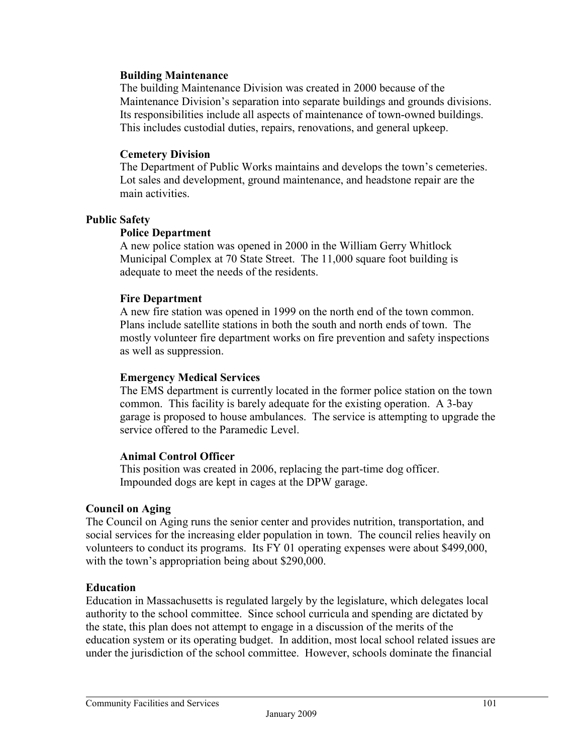#### **Building Maintenance**

The building Maintenance Division was created in 2000 because of the Maintenance Division's separation into separate buildings and grounds divisions. Its responsibilities include all aspects of maintenance of town-owned buildings. This includes custodial duties, repairs, renovations, and general upkeep.

#### **Cemetery Division**

The Department of Public Works maintains and develops the town's cemeteries. Lot sales and development, ground maintenance, and headstone repair are the main activities.

#### **Public Safety**

#### **Police Department**

A new police station was opened in 2000 in the William Gerry Whitlock Municipal Complex at 70 State Street. The 11,000 square foot building is adequate to meet the needs of the residents.

#### **Fire Department**

A new fire station was opened in 1999 on the north end of the town common. Plans include satellite stations in both the south and north ends of town. The mostly volunteer fire department works on fire prevention and safety inspections as well as suppression.

#### **Emergency Medical Services**

The EMS department is currently located in the former police station on the town common. This facility is barely adequate for the existing operation. A 3-bay garage is proposed to house ambulances. The service is attempting to upgrade the service offered to the Paramedic Level.

#### **Animal Control Officer**

This position was created in 2006, replacing the part-time dog officer. Impounded dogs are kept in cages at the DPW garage.

#### **Council on Aging**

The Council on Aging runs the senior center and provides nutrition, transportation, and social services for the increasing elder population in town. The council relies heavily on volunteers to conduct its programs. Its FY 01 operating expenses were about \$499,000, with the town's appropriation being about \$290,000.

#### **Education**

Education in Massachusetts is regulated largely by the legislature, which delegates local authority to the school committee. Since school curricula and spending are dictated by the state, this plan does not attempt to engage in a discussion of the merits of the education system or its operating budget. In addition, most local school related issues are under the jurisdiction of the school committee. However, schools dominate the financial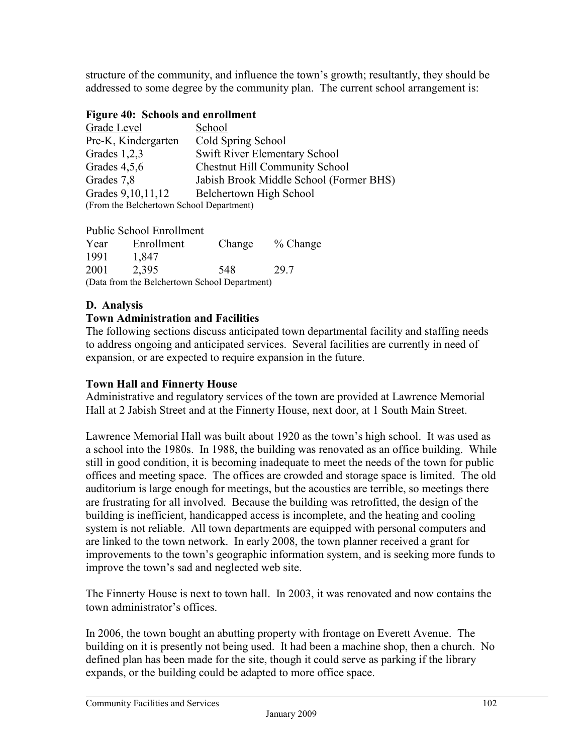structure of the community, and influence the town's growth; resultantly, they should be addressed to some degree by the community plan. The current school arrangement is:

### **Figure 40: Schools and enrollment**

| Grade Level                              | School                                  |  |  |
|------------------------------------------|-----------------------------------------|--|--|
| Pre-K, Kindergarten                      | Cold Spring School                      |  |  |
| Grades $1,2,3$                           | Swift River Elementary School           |  |  |
| Grades $4,5,6$                           | <b>Chestnut Hill Community School</b>   |  |  |
| Grades 7,8                               | Jabish Brook Middle School (Former BHS) |  |  |
| Grades 9, 10, 11, 12                     | Belchertown High School                 |  |  |
| (From the Belchertown School Department) |                                         |  |  |

Public School Enrollment

| Year                                          | Enrollment | Change | $\%$ Change |  |
|-----------------------------------------------|------------|--------|-------------|--|
| 1991                                          | 1,847      |        |             |  |
| 2001                                          | 2,395      | 548    | 29.7        |  |
| (Data from the Belchertown School Department) |            |        |             |  |

#### **D. Analysis**

#### **Town Administration and Facilities**

The following sections discuss anticipated town departmental facility and staffing needs to address ongoing and anticipated services. Several facilities are currently in need of expansion, or are expected to require expansion in the future.

#### **Town Hall and Finnerty House**

Administrative and regulatory services of the town are provided at Lawrence Memorial Hall at 2 Jabish Street and at the Finnerty House, next door, at 1 South Main Street.

Lawrence Memorial Hall was built about 1920 as the town's high school. It was used as a school into the 1980s. In 1988, the building was renovated as an office building. While still in good condition, it is becoming inadequate to meet the needs of the town for public offices and meeting space. The offices are crowded and storage space is limited. The old auditorium is large enough for meetings, but the acoustics are terrible, so meetings there are frustrating for all involved. Because the building was retrofitted, the design of the building is inefficient, handicapped access is incomplete, and the heating and cooling system is not reliable. All town departments are equipped with personal computers and are linked to the town network. In early 2008, the town planner received a grant for improvements to the town's geographic information system, and is seeking more funds to improve the town's sad and neglected web site.

The Finnerty House is next to town hall. In 2003, it was renovated and now contains the town administrator's offices.

In 2006, the town bought an abutting property with frontage on Everett Avenue. The building on it is presently not being used. It had been a machine shop, then a church. No defined plan has been made for the site, though it could serve as parking if the library expands, or the building could be adapted to more office space.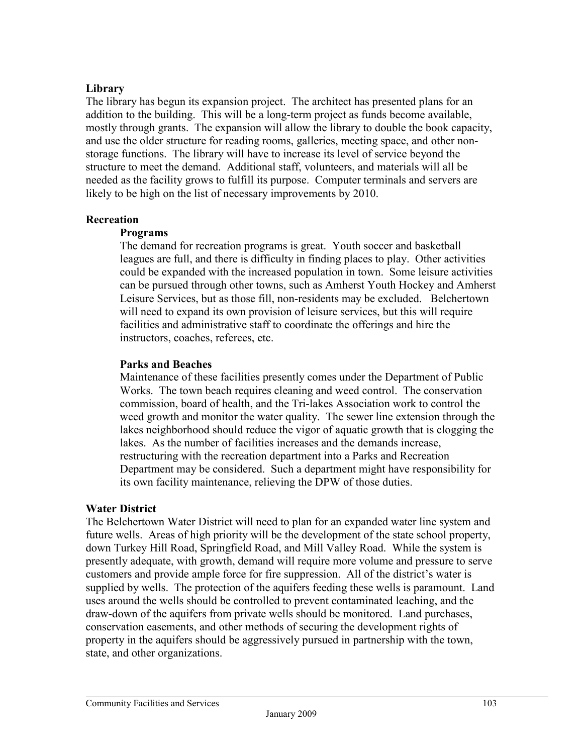## **Library**

The library has begun its expansion project. The architect has presented plans for an addition to the building. This will be a long-term project as funds become available, mostly through grants. The expansion will allow the library to double the book capacity, and use the older structure for reading rooms, galleries, meeting space, and other nonstorage functions. The library will have to increase its level of service beyond the structure to meet the demand. Additional staff, volunteers, and materials will all be needed as the facility grows to fulfill its purpose. Computer terminals and servers are likely to be high on the list of necessary improvements by 2010.

## **Recreation**

## **Programs**

The demand for recreation programs is great. Youth soccer and basketball leagues are full, and there is difficulty in finding places to play. Other activities could be expanded with the increased population in town. Some leisure activities can be pursued through other towns, such as Amherst Youth Hockey and Amherst Leisure Services, but as those fill, non-residents may be excluded. Belchertown will need to expand its own provision of leisure services, but this will require facilities and administrative staff to coordinate the offerings and hire the instructors, coaches, referees, etc.

## **Parks and Beaches**

Maintenance of these facilities presently comes under the Department of Public Works. The town beach requires cleaning and weed control. The conservation commission, board of health, and the Tri-lakes Association work to control the weed growth and monitor the water quality. The sewer line extension through the lakes neighborhood should reduce the vigor of aquatic growth that is clogging the lakes. As the number of facilities increases and the demands increase, restructuring with the recreation department into a Parks and Recreation Department may be considered. Such a department might have responsibility for its own facility maintenance, relieving the DPW of those duties.

## **Water District**

The Belchertown Water District will need to plan for an expanded water line system and future wells. Areas of high priority will be the development of the state school property, down Turkey Hill Road, Springfield Road, and Mill Valley Road. While the system is presently adequate, with growth, demand will require more volume and pressure to serve customers and provide ample force for fire suppression. All of the district's water is supplied by wells. The protection of the aquifers feeding these wells is paramount. Land uses around the wells should be controlled to prevent contaminated leaching, and the draw-down of the aquifers from private wells should be monitored. Land purchases, conservation easements, and other methods of securing the development rights of property in the aquifers should be aggressively pursued in partnership with the town, state, and other organizations.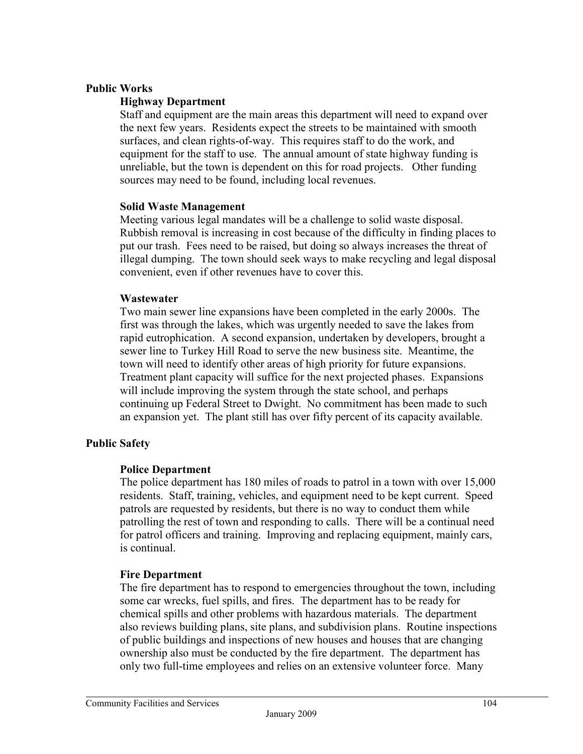#### **Public Works**

#### **Highway Department**

Staff and equipment are the main areas this department will need to expand over the next few years. Residents expect the streets to be maintained with smooth surfaces, and clean rights-of-way. This requires staff to do the work, and equipment for the staff to use. The annual amount of state highway funding is unreliable, but the town is dependent on this for road projects. Other funding sources may need to be found, including local revenues.

#### **Solid Waste Management**

Meeting various legal mandates will be a challenge to solid waste disposal. Rubbish removal is increasing in cost because of the difficulty in finding places to put our trash. Fees need to be raised, but doing so always increases the threat of illegal dumping. The town should seek ways to make recycling and legal disposal convenient, even if other revenues have to cover this.

#### **Wastewater**

Two main sewer line expansions have been completed in the early 2000s. The first was through the lakes, which was urgently needed to save the lakes from rapid eutrophication. A second expansion, undertaken by developers, brought a sewer line to Turkey Hill Road to serve the new business site. Meantime, the town will need to identify other areas of high priority for future expansions. Treatment plant capacity will suffice for the next projected phases. Expansions will include improving the system through the state school, and perhaps continuing up Federal Street to Dwight. No commitment has been made to such an expansion yet. The plant still has over fifty percent of its capacity available.

#### **Public Safety**

#### **Police Department**

The police department has 180 miles of roads to patrol in a town with over 15,000 residents. Staff, training, vehicles, and equipment need to be kept current. Speed patrols are requested by residents, but there is no way to conduct them while patrolling the rest of town and responding to calls. There will be a continual need for patrol officers and training. Improving and replacing equipment, mainly cars, is continual.

#### **Fire Department**

The fire department has to respond to emergencies throughout the town, including some car wrecks, fuel spills, and fires. The department has to be ready for chemical spills and other problems with hazardous materials. The department also reviews building plans, site plans, and subdivision plans. Routine inspections of public buildings and inspections of new houses and houses that are changing ownership also must be conducted by the fire department. The department has only two full-time employees and relies on an extensive volunteer force. Many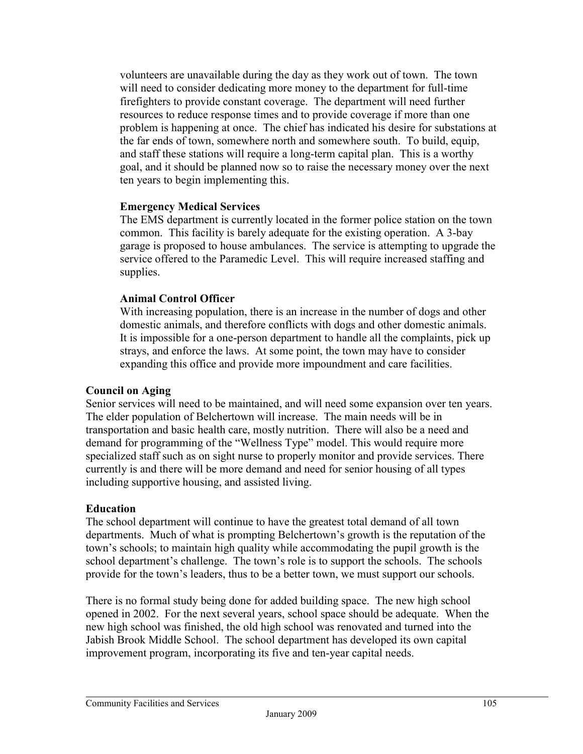volunteers are unavailable during the day as they work out of town. The town will need to consider dedicating more money to the department for full-time firefighters to provide constant coverage. The department will need further resources to reduce response times and to provide coverage if more than one problem is happening at once. The chief has indicated his desire for substations at the far ends of town, somewhere north and somewhere south. To build, equip, and staff these stations will require a long-term capital plan. This is a worthy goal, and it should be planned now so to raise the necessary money over the next ten years to begin implementing this.

## **Emergency Medical Services**

The EMS department is currently located in the former police station on the town common. This facility is barely adequate for the existing operation. A 3-bay garage is proposed to house ambulances. The service is attempting to upgrade the service offered to the Paramedic Level. This will require increased staffing and supplies.

## **Animal Control Officer**

With increasing population, there is an increase in the number of dogs and other domestic animals, and therefore conflicts with dogs and other domestic animals. It is impossible for a one-person department to handle all the complaints, pick up strays, and enforce the laws. At some point, the town may have to consider expanding this office and provide more impoundment and care facilities.

## **Council on Aging**

Senior services will need to be maintained, and will need some expansion over ten years. The elder population of Belchertown will increase. The main needs will be in transportation and basic health care, mostly nutrition. There will also be a need and demand for programming of the "Wellness Type" model. This would require more specialized staff such as on sight nurse to properly monitor and provide services. There currently is and there will be more demand and need for senior housing of all types including supportive housing, and assisted living.

## **Education**

The school department will continue to have the greatest total demand of all town departments. Much of what is prompting Belchertown's growth is the reputation of the town's schools; to maintain high quality while accommodating the pupil growth is the school department's challenge. The town's role is to support the schools. The schools provide for the town's leaders, thus to be a better town, we must support our schools.

There is no formal study being done for added building space. The new high school opened in 2002. For the next several years, school space should be adequate. When the new high school was finished, the old high school was renovated and turned into the Jabish Brook Middle School. The school department has developed its own capital improvement program, incorporating its five and ten-year capital needs.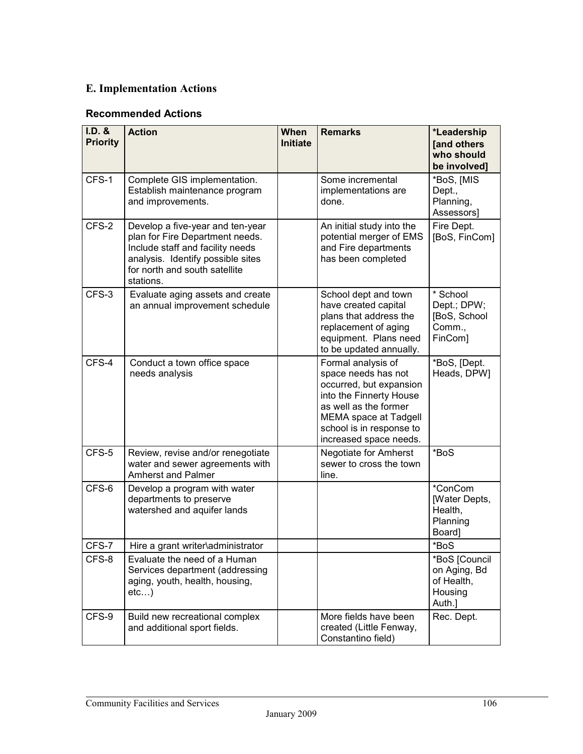# **E. Implementation Actions**

## **Recommended Actions**

| I.D. &<br><b>Priority</b> | <b>Action</b>                                                                                                                                                                              | <b>When</b><br>Initiate | <b>Remarks</b>                                                                                                                                                                                                 | *Leadership<br>[and others<br>who should<br>be involved]         |
|---------------------------|--------------------------------------------------------------------------------------------------------------------------------------------------------------------------------------------|-------------------------|----------------------------------------------------------------------------------------------------------------------------------------------------------------------------------------------------------------|------------------------------------------------------------------|
| CFS-1                     | Complete GIS implementation.<br>Establish maintenance program<br>and improvements.                                                                                                         |                         | Some incremental<br>implementations are<br>done.                                                                                                                                                               | *BoS, [MIS<br>Dept.,<br>Planning,<br>Assessors]                  |
| CFS-2                     | Develop a five-year and ten-year<br>plan for Fire Department needs.<br>Include staff and facility needs<br>analysis. Identify possible sites<br>for north and south satellite<br>stations. |                         | An initial study into the<br>potential merger of EMS<br>and Fire departments<br>has been completed                                                                                                             | Fire Dept.<br>[BoS, FinCom]                                      |
| CFS-3                     | Evaluate aging assets and create<br>an annual improvement schedule                                                                                                                         |                         | School dept and town<br>have created capital<br>plans that address the<br>replacement of aging<br>equipment. Plans need<br>to be updated annually.                                                             | * School<br>Dept.; DPW;<br>[BoS, School<br>Comm.,<br>FinCom]     |
| CFS-4                     | Conduct a town office space<br>needs analysis                                                                                                                                              |                         | Formal analysis of<br>space needs has not<br>occurred, but expansion<br>into the Finnerty House<br>as well as the former<br><b>MEMA space at Tadgell</b><br>school is in response to<br>increased space needs. | *BoS, [Dept.<br>Heads, DPW]                                      |
| CFS-5                     | Review, revise and/or renegotiate<br>water and sewer agreements with<br><b>Amherst and Palmer</b>                                                                                          |                         | Negotiate for Amherst<br>sewer to cross the town<br>line.                                                                                                                                                      | *BoS                                                             |
| CFS-6                     | Develop a program with water<br>departments to preserve<br>watershed and aquifer lands                                                                                                     |                         |                                                                                                                                                                                                                | *ConCom<br>[Water Depts,<br>Health,<br>Planning<br>Board]        |
| CFS-7                     | Hire a grant writer\administrator                                                                                                                                                          |                         |                                                                                                                                                                                                                | *BoS                                                             |
| CFS-8                     | Evaluate the need of a Human<br>Services department (addressing<br>aging, youth, health, housing,<br>etc)                                                                                  |                         |                                                                                                                                                                                                                | *BoS [Council<br>on Aging, Bd<br>of Health,<br>Housing<br>Auth.] |
| CFS-9                     | Build new recreational complex<br>and additional sport fields.                                                                                                                             |                         | More fields have been<br>created (Little Fenway,<br>Constantino field)                                                                                                                                         | Rec. Dept.                                                       |